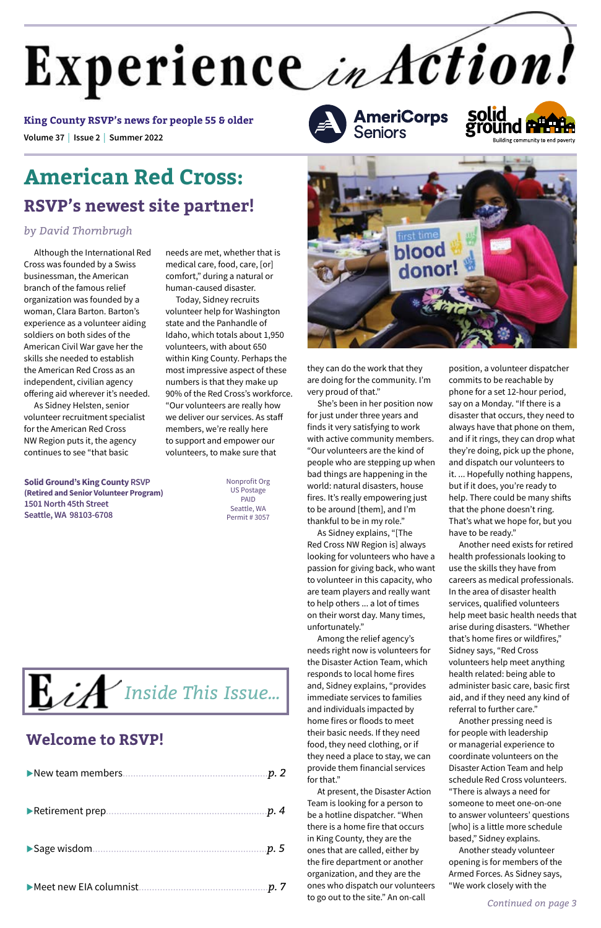Although the International Red Cross was founded by a Swiss businessman, the American branch of the famous relief organization was founded by a woman, Clara Barton. Barton's experience as a volunteer aiding soldiers on both sides of the American Civil War gave her the skills she needed to establish the American Red Cross as an independent, civilian agency offering aid wherever it's needed.

As Sidney Helsten, senior volunteer recruitment specialist for the American Red Cross NW Region puts it, the agency continues to see "that basic

# **American Red Cross: RSVP's newest site partner!**

#### *by David Thornbrugh*

needs are met, whether that is medical care, food, care, [or] comfort," during a natural or human-caused disaster.

Today, Sidney recruits volunteer help for Washington state and the Panhandle of Idaho, which totals about 1,950 volunteers, with about 650 within King County. Perhaps the most impressive aspect of these numbers is that they make up 90% of the Red Cross's workforce. "Our volunteers are really how we deliver our services. As staff members, we're really here to support and empower our volunteers, to make sure that

they can do the work that they are doing for the community. I'm very proud of that."

She's been in her position now for just under three years and finds it very satisfying to work with active community members. "Our volunteers are the kind of people who are stepping up when bad things are happening in the world: natural disasters, house fires. It's really empowering just to be around [them], and I'm thankful to be in my role."

As Sidney explains, "[The Red Cross NW Region is] always looking for volunteers who have a passion for giving back, who want to volunteer in this capacity, who are team players and really want to help others ... a lot of times on their worst day. Many times, unfortunately."

Among the relief agency's needs right now is volunteers for the Disaster Action Team, which responds to local home fires and, Sidney explains, "provides immediate services to families and individuals impacted by home fires or floods to meet their basic needs. If they need food, they need clothing, or if they need a place to stay, we can provide them financial services for that." At present, the Disaster Action Team is looking for a person to be a hotline dispatcher. "When there is a home fire that occurs in King County, they are the ones that are called, either by the fire department or another organization, and they are the ones who dispatch our volunteers to go out to the site." An on-call

position, a volunteer dispatcher commits to be reachable by phone for a set 12-hour period, say on a Monday. "If there is a disaster that occurs, they need to always have that phone on them, and if it rings, they can drop what they're doing, pick up the phone, and dispatch our volunteers to it. ... Hopefully nothing happens, but if it does, you're ready to help. There could be many shifts that the phone doesn't ring. That's what we hope for, but you have to be ready."

Another need exists for retired health professionals looking to use the skills they have from careers as medical professionals. In the area of disaster health services, qualified volunteers help meet basic health needs that arise during disasters. "Whether that's home fires or wildfires," Sidney says, "Red Cross volunteers help meet anything health related: being able to

administer basic care, basic first aid, and if they need any kind of referral to further care."

Another pressing need is for people with leadership or managerial experience to coordinate volunteers on the Disaster Action Team and help schedule Red Cross volunteers. "There is always a need for someone to meet one-on-one to answer volunteers' questions [who] is a little more schedule based," Sidney explains. Another steady volunteer opening is for members of the Armed Forces. As Sidney says, "We work closely with the

**Solid Ground's King County RSVP (Retired and Senior Volunteer Program) 1501 North 45th Street Seattle, WA 98103-6708**

Nonprofit Org US Postage PAID Seattle, WA Permit # 3057 **AmeriCorps**<br>Seniors





uMeet new EIA columnist.................................................*p. 7*

uSage wisdom..................................................................*p. 5*

uRetirement prep.............................................................*p. 4*

|--|--|--|--|

# **Welcome to RSVP!**

*Continued on page 3*

# Experience in Action!

**Volume 37 | Issue 2 <sup>|</sup> Summer 2022 King County RSVP's news for people 55 & older**

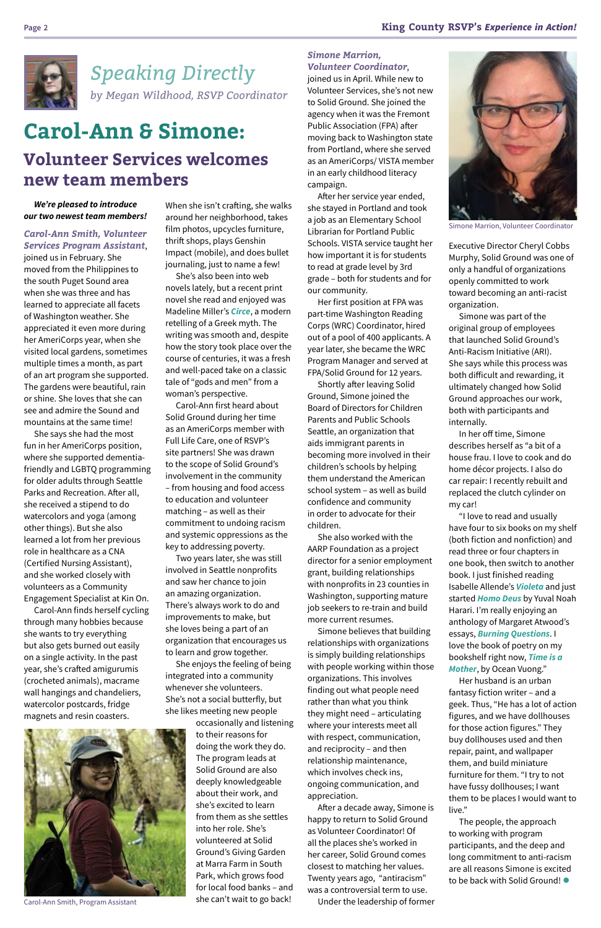

*We're pleased to introduce our two newest team members!*

*Carol-Ann Smith, Volunteer Services Program Assistant*,

joined us in February. She moved from the Philippines to the south Puget Sound area when she was three and has learned to appreciate all facets of Washington weather. She appreciated it even more during her AmeriCorps year, when she visited local gardens, sometimes multiple times a month, as part of an art program she supported. The gardens were beautiful, rain or shine. She loves that she can see and admire the Sound and mountains at the same time!

She says she had the most fun in her AmeriCorps position, where she supported dementiafriendly and LGBTQ programming for older adults through Seattle Parks and Recreation. After all, she received a stipend to do watercolors and yoga (among other things). But she also learned a lot from her previous role in healthcare as a CNA (Certified Nursing Assistant), and she worked closely with volunteers as a Community Engagement Specialist at Kin On.

Carol-Ann finds herself cycling through many hobbies because she wants to try everything but also gets burned out easily on a single activity. In the past year, she's crafted amigurumis (crocheted animals), macrame wall hangings and chandeliers, watercolor postcards, fridge magnets and resin coasters.

When she isn't crafting, she walks around her neighborhood, takes film photos, upcycles furniture, thrift shops, plays Genshin Impact (mobile), and does bullet journaling, just to name a few!

She's also been into web novels lately, but a recent print novel she read and enjoyed was Madeline Miller's *[Circe](https://youtu.be/nGAbXvhzSII)*, a modern retelling of a Greek myth. The writing was smooth and, despite how the story took place over the course of centuries, it was a fresh and well-paced take on a classic tale of "gods and men" from a woman's perspective.

Carol-Ann first heard about Solid Ground during her time as an AmeriCorps member with Full Life Care, one of RSVP's site partners! She was drawn to the scope of Solid Ground's involvement in the community – from housing and food access to education and volunteer matching – as well as their commitment to undoing racism and systemic oppressions as the key to addressing poverty.

Two years later, she was still involved in Seattle nonprofits and saw her chance to join an amazing organization. There's always work to do and improvements to make, but she loves being a part of an organization that encourages us to learn and grow together.

She enjoys the feeling of being integrated into a community whenever she volunteers. She's not a social butterfly, but she likes meeting new people occasionally and listening to their reasons for doing the work they do. The program leads at Solid Ground are also deeply knowledgeable about their work, and she's excited to learn from them as she settles into her role. She's volunteered at Solid Ground's Giving Garden at Marra Farm in South Park, which grows food for local food banks – and

she can't wait to go back!

# **Carol-Ann & Simone: Volunteer Services welcomes new team members**

#### *Simone Marrion, Volunteer Coordinator*,

Her husband is an urban fantasy fiction writer – and a geek. Thus, "He has a lot of action figures, and we have dollhouses for those action figures." They buy dollhouses used and then repair, paint, and wallpaper them, and build miniature furniture for them. "I try to not have fussy dollhouses; I want them to be places I would want to live." The people, the approach to working with program participants, and the deep and long commitment to anti-racism are all reasons Simone is excited to be back with Solid Ground! •

joined us in April. While new to Volunteer Services, she's not new to Solid Ground. She joined the agency when it was the Fremont Public Association (FPA) after moving back to Washington state from Portland, where she served as an AmeriCorps/ VISTA member in an early childhood literacy campaign.

After her service year ended, she stayed in Portland and took a job as an Elementary School Librarian for Portland Public Schools. VISTA service taught her how important it is for students to read at grade level by 3rd grade – both for students and for our community.

Her first position at FPA was part-time Washington Reading Corps (WRC) Coordinator, hired out of a pool of 400 applicants. A year later, she became the WRC Program Manager and served at FPA/Solid Ground for 12 years.

Shortly after leaving Solid Ground, Simone joined the Board of Directors for Children Parents and Public Schools Seattle, an organization that aids immigrant parents in becoming more involved in their children's schools by helping them understand the American school system – as well as build confidence and community in order to advocate for their children.

She also worked with the AARP Foundation as a project director for a senior employment grant, building relationships with nonprofits in 23 counties in Washington, supporting mature job seekers to re-train and build more current resumes.

Simone believes that building relationships with organizations is simply building relationships with people working within those organizations. This involves finding out what people need rather than what you think they might need – articulating where your interests meet all with respect, communication, and reciprocity – and then relationship maintenance, which involves check ins, ongoing communication, and appreciation. After a decade away, Simone is happy to return to Solid Ground as Volunteer Coordinator! Of all the places she's worked in her career, Solid Ground comes closest to matching her values. Twenty years ago, "antiracism" was a controversial term to use.

Under the leadership of former

Executive Director Cheryl Cobbs Murphy, Solid Ground was one of only a handful of organizations openly committed to work toward becoming an anti-racist organization.

Simone was part of the original group of employees that launched Solid Ground's Anti-Racism Initiative (ARI). She says while this process was both difficult and rewarding, it ultimately changed how Solid Ground approaches our work, both with participants and internally.

In her off time, Simone describes herself as "a bit of a house frau. I love to cook and do home décor projects. I also do car repair: I recently rebuilt and replaced the clutch cylinder on my car!

"I love to read and usually have four to six books on my shelf (both fiction and nonfiction) and read three or four chapters in one book, then switch to another book. I just finished reading Isabelle Allende's *[Violeta](https://youtu.be/LWkSLiPtGes)* and just started *[Homo Deus](https://youtu.be/4ChHc5jhZxs)* by Yuval Noah Harari. I'm really enjoying an anthology of Margaret Atwood's essays, *[Burning Questions](https://youtu.be/82pcslakQjk)*. I love the book of poetry on my bookshelf right now, *[Time is a](https://youtu.be/wvcLJeSR83Y)  [Mother](https://youtu.be/wvcLJeSR83Y)*, by Ocean Vuong."

*Speaking Directly by Megan Wildhood, RSVP Coordinator*



Carol-Ann Smith, Program Assistant



Simone Marrion, Volunteer Coordinator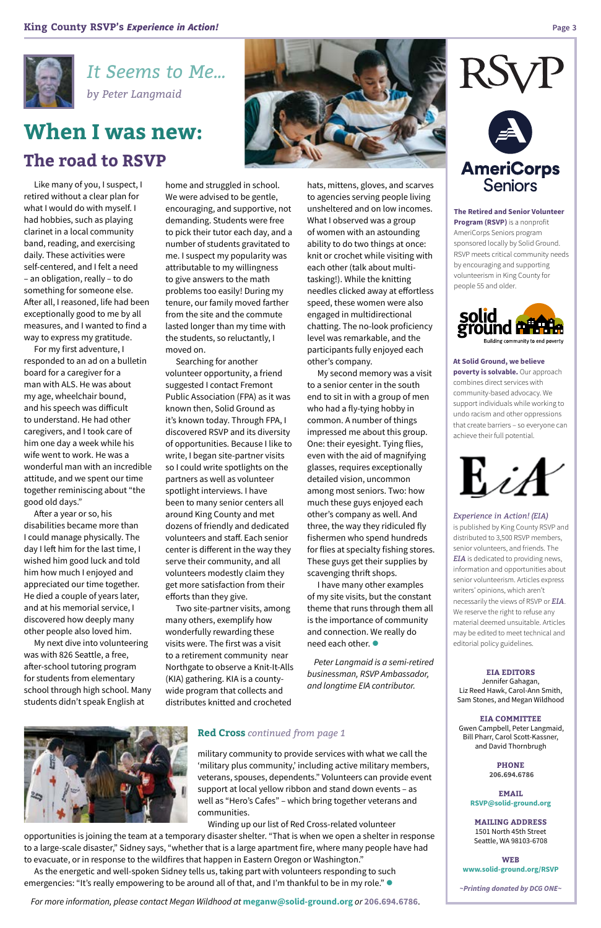Like many of you, I suspect, I retired without a clear plan for what I would do with myself. I had hobbies, such as playing clarinet in a local community band, reading, and exercising daily. These activities were self-centered, and I felt a need – an obligation, really – to do something for someone else. After all, I reasoned, life had been exceptionally good to me by all measures, and I wanted to find a way to express my gratitude.

For my first adventure, I responded to an ad on a bulletin board for a caregiver for a man with ALS. He was about my age, wheelchair bound, and his speech was difficult to understand. He had other caregivers, and I took care of him one day a week while his wife went to work. He was a wonderful man with an incredible attitude, and we spent our time together reminiscing about "the good old days."

After a year or so, his disabilities became more than I could manage physically. The day I left him for the last time, I wished him good luck and told him how much I enjoyed and appreciated our time together. He died a couple of years later, and at his memorial service, I discovered how deeply many other people also loved him.

My next dive into volunteering was with 826 Seattle, a free, after-school tutoring program for students from elementary

school through high school. Many students didn't speak English at

home and struggled in school. We were advised to be gentle, encouraging, and supportive, not demanding. Students were free to pick their tutor each day, and a number of students gravitated to me. I suspect my popularity was attributable to my willingness to give answers to the math problems too easily! During my tenure, our family moved farther from the site and the commute lasted longer than my time with the students, so reluctantly, I moved on.

> I have many other examples of my site visits, but the constant theme that runs through them all is the importance of community and connection. We really do need each other.  $\bullet$

Searching for another volunteer opportunity, a friend suggested I contact Fremont Public Association (FPA) as it was known then, Solid Ground as it's known today. Through FPA, I discovered RSVP and its diversity of opportunities. Because I like to write, I began site-partner visits so I could write spotlights on the partners as well as volunteer spotlight interviews. I have been to many senior centers all around King County and met dozens of friendly and dedicated volunteers and staff. Each senior center is different in the way they serve their community, and all volunteers modestly claim they get more satisfaction from their efforts than they give.

As the energetic and well-spoken Sidney tells us, taking part with volunteers responding to such emergencies: "It's really empowering to be around all of that, and I'm thankful to be in my role."  $\bullet$ 

Two site-partner visits, among many others, exemplify how wonderfully rewarding these visits were. The first was a visit to a retirement community near Northgate to observe a Knit-It-Alls (KIA) gathering. KIA is a county-

wide program that collects and distributes knitted and crocheted hats, mittens, gloves, and scarves to agencies serving people living unsheltered and on low incomes. What I observed was a group of women with an astounding ability to do two things at once: knit or crochet while visiting with each other (talk about multitasking!). While the knitting needles clicked away at effortless speed, these women were also engaged in multidirectional chatting. The no-look proficiency level was remarkable, and the participants fully enjoyed each other's company.

My second memory was a visit to a senior center in the south end to sit in with a group of men who had a fly-tying hobby in common. A number of things impressed me about this group. One: their eyesight. Tying flies, even with the aid of magnifying glasses, requires exceptionally detailed vision, uncommon among most seniors. Two: how much these guys enjoyed each other's company as well. And three, the way they ridiculed fly fishermen who spend hundreds for flies at specialty fishing stores. These guys get their supplies by scavenging thrift shops.

*Peter Langmaid is a semi-retired businessman, RSVP Ambassador,* 

# RSV



*and longtime EIA contributor.*

*It Seems to Me... by Peter Langmaid*

# **When I was new: The road to RSVP**

#### **Red Cross** *continued from page 1*

military community to provide services with what we call the 'military plus community,' including active military members, veterans, spouses, dependents." Volunteers can provide event support at local yellow ribbon and stand down events – as well as "Hero's Cafes" – which bring together veterans and communities.

Winding up our list of Red Cross-related volunteer

opportunities is joining the team at a temporary disaster shelter. "That is when we open a shelter in response to a large-scale disaster," Sidney says, "whether that is a large apartment fire, where many people have had to evacuate, or in response to the wildfires that happen in Eastern Oregon or Washington."

*For more information, please contact Megan Wildhood at* **[meganw@solid-ground.org](mailto:meganw@solid-ground.org )** *or* **206.694.6786**.



**EIA EDITORS** Jennifer Gahagan, Liz Reed Hawk, Carol-Ann Smith, Sam Stones, and Megan Wildhood

**EIA COMMITTEE**

 Gwen Campbell, Peter Langmaid, Bill Pharr, Carol Scott-Kassner, and David Thornbrugh

> **PHONE 206.694.6786**

**EMAIL [RSVP@solid-ground.org](mailto:RSVP@solid-ground.org)**

**MAILING ADDRESS**  1501 North 45th Street Seattle, WA 98103-6708

**WEB www.solid-ground.org/RSVP**

*~Printing donated by DCG ONE~*





**The Retired and Senior Volunteer Program (RSVP)** is a nonprofit AmeriCorps Seniors program sponsored locally by Solid Ground. RSVP meets critical community needs by encouraging and supporting volunteerism in King County for people 55 and older.



**At Solid Ground, we believe poverty is solvable.** Our approach combines direct services with community-based advocacy. We support individuals while working to undo racism and other oppressions that create barriers – so everyone can achieve their full potential.



*Experience in Action! (EIA)*

is published by King County RSVP and distributed to 3,500 RSVP members, senior volunteers, and friends. The *EIA* is dedicated to providing news, information and opportunities about senior volunteerism. Articles express writers' opinions, which aren't necessarily the views of RSVP or *EIA*. We reserve the right to refuse any material deemed unsuitable. Articles may be edited to meet technical and editorial policy guidelines.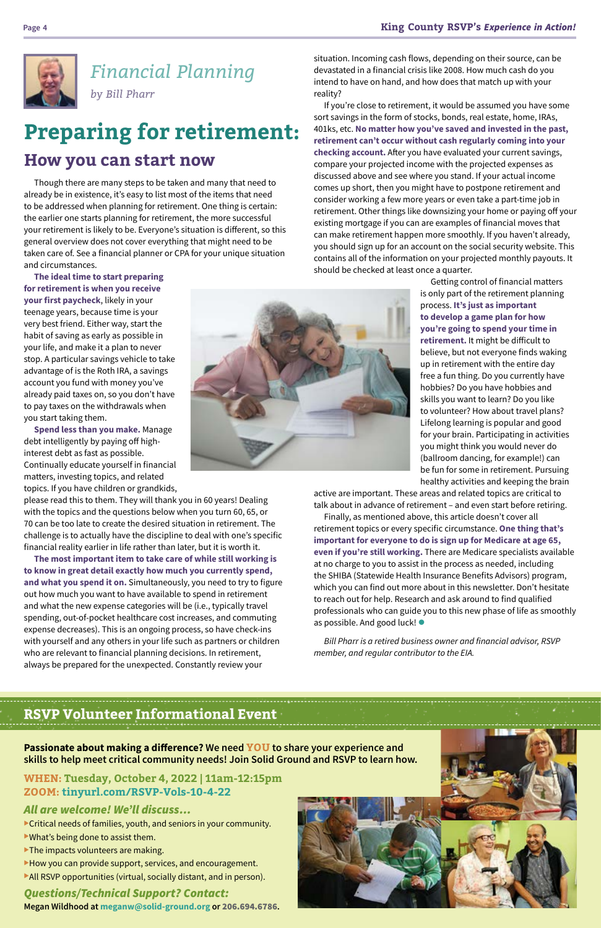# *Financial Planning by Bill Pharr*



Though there are many steps to be taken and many that need to already be in existence, it's easy to list most of the items that need to be addressed when planning for retirement. One thing is certain: the earlier one starts planning for retirement, the more successful your retirement is likely to be. Everyone's situation is different, so this general overview does not cover everything that might need to be taken care of. See a financial planner or CPA for your unique situation and circumstances.

**The ideal time to start preparing for retirement is when you receive your first paycheck**, likely in your teenage years, because time is your very best friend. Either way, start the habit of saving as early as possible in your life, and make it a plan to never stop. A particular savings vehicle to take advantage of is the Roth IRA, a savings account you fund with money you've already paid taxes on, so you don't have to pay taxes on the withdrawals when you start taking them.

**Spend less than you make.** Manage debt intelligently by paying off highinterest debt as fast as possible. Continually educate yourself in financial matters, investing topics, and related topics. If you have children or grandkids,

please read this to them. They will thank you in 60 years! Dealing with the topics and the questions below when you turn 60, 65, or 70 can be too late to create the desired situation in retirement. The challenge is to actually have the discipline to deal with one's specific financial reality earlier in life rather than later, but it is worth it.

**The most important item to take care of while still working is to know in great detail exactly how much you currently spend, and what you spend it on.** Simultaneously, you need to try to figure out how much you want to have available to spend in retirement and what the new expense categories will be (i.e., typically travel spending, out-of-pocket healthcare cost increases, and commuting expense decreases). This is an ongoing process, so have check-ins with yourself and any others in your life such as partners or children who are relevant to financial planning decisions. In retirement, always be prepared for the unexpected. Constantly review your



Finally, as mentioned above, this article doesn't cover all retirement topics or every specific circumstance. **One thing that's important for everyone to do is sign up for Medicare at age 65, even if you're still working.** There are Medicare specialists available at no charge to you to assist in the process as needed, including the SHIBA (Statewide Health Insurance Benefits Advisors) program, which you can find out more about in this newsletter. Don't hesitate to reach out for help. Research and ask around to find qualified professionals who can guide you to this new phase of life as smoothly as possible. And good luck! •

situation. Incoming cash flows, depending on their source, can be devastated in a financial crisis like 2008. How much cash do you intend to have on hand, and how does that match up with your reality?

If you're close to retirement, it would be assumed you have some sort savings in the form of stocks, bonds, real estate, home, IRAs, 401ks, etc. **No matter how you've saved and invested in the past, retirement can't occur without cash regularly coming into your checking account.** After you have evaluated your current savings, compare your projected income with the projected expenses as discussed above and see where you stand. If your actual income comes up short, then you might have to postpone retirement and consider working a few more years or even take a part-time job in retirement. Other things like downsizing your home or paying off your existing mortgage if you can are examples of financial moves that can make retirement happen more smoothly. If you haven't already, you should sign up for an account on the social security website. This contains all of the information on your projected monthly payouts. It should be checked at least once a quarter.

> Getting control of financial matters is only part of the retirement planning process. **It's just as important to develop a game plan for how you're going to spend your time in retirement.** It might be difficult to believe, but not everyone finds waking up in retirement with the entire day free a fun thing. Do you currently have hobbies? Do you have hobbies and skills you want to learn? Do you like to volunteer? How about travel plans? Lifelong learning is popular and good for your brain. Participating in activities you might think you would never do (ballroom dancing, for example!) can be fun for some in retirement. Pursuing healthy activities and keeping the brain

active are important. These areas and related topics are critical to talk about in advance of retirement – and even start before retiring.

*Bill Pharr is a retired business owner and financial advisor, RSVP member, and regular contributor to the EIA.*

# **Preparing for retirement:**

# **How you can start now**

# **RSVP Volunteer Informational Event**

**Passionate about making a difference? We need YOU to share your experience and skills to help meet critical community needs! Join Solid Ground and RSVP to learn how.**

#### **WHEN: Tuesday, October 4, 2022 | 11am-12:15pm ZOOM: tinyurl.com/RSVP-Vols-10-4-22**

#### *All are welcome! We'll discuss…*

- Critical needs of families, youth, and seniors in your community.  $\blacktriangleright$  What's being done to assist them.
- $\blacktriangleright$  The impacts volunteers are making.
- $\blacktriangleright$  How you can provide support, services, and encouragement.  $\blacktriangleright$  All RSVP opportunities (virtual, socially distant, and in person).

#### *Questions/Technical Support? Contact:*

**Megan Wildhood at [meganw@solid-ground.org](mailto:meganw@solid-ground.org ) or** 206.694.6786**.**

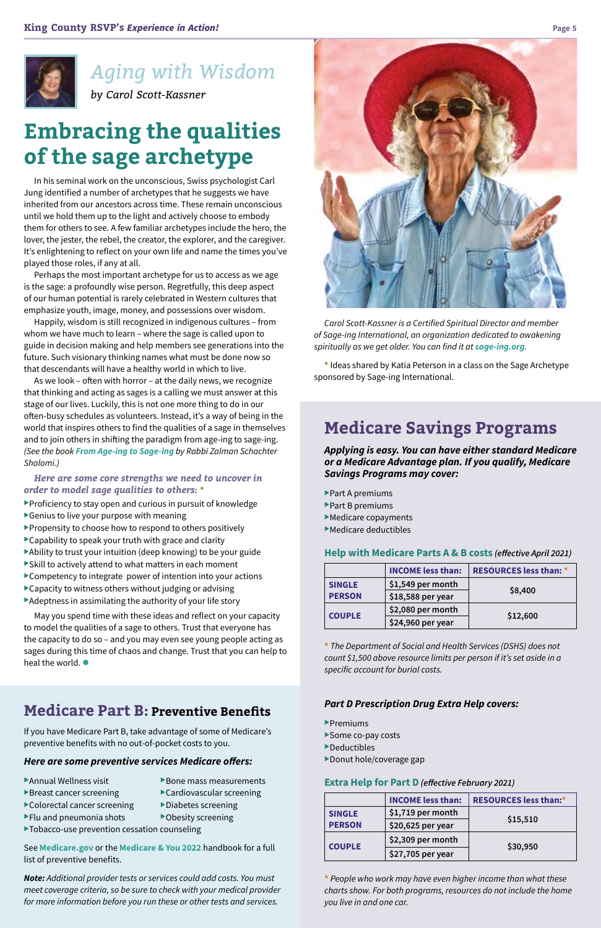

# *Aging with Wisdom*

*by Carol Scott-Kassner*

# **Embracing the qualities of the sage archetype**

In his seminal work on the unconscious, Swiss psychologist Carl Jung identified a number of archetypes that he suggests we have inherited from our ancestors across time. These remain unconscious until we hold them up to the light and actively choose to embody them for others to see. A few familiar archetypes include the hero, the lover, the jester, the rebel, the creator, the explorer, and the caregiver. It's enlightening to reflect on your own life and name the times you've played those roles, if any at all.

Perhaps the most important archetype for us to access as we age is the sage: a profoundly wise person. Regretfully, this deep aspect of our human potential is rarely celebrated in Western cultures that emphasize youth, image, money, and possessions over wisdom.

Happily, wisdom is still recognized in indigenous cultures – from whom we have much to learn – where the sage is called upon to guide in decision making and help members see generations into the future. Such visionary thinking names what must be done now so that descendants will have a healthy world in which to live.

May you spend time with these ideas and reflect on your capacity to model the qualities of a sage to others. Trust that everyone has the capacity to do so – and you may even see young people acting as sages during this time of chaos and change. Trust that you can help to heal the world.  $\bullet$ 



As we look – often with horror – at the daily news, we recognize that thinking and acting as sages is a calling we must answer at this stage of our lives. Luckily, this is not one more thing to do in our often-busy schedules as volunteers. Instead, it's a way of being in the world that inspires others to find the qualities of a sage in themselves and to join others in shifting the paradigm from age-ing to sage-ing. *(See the book [From Age-ing to Sage-ing](https://www.youtube.com/watch?v=i7L_7UboCpA) by Rabbi Zalman Schachter Shalomi.)*

#### *Here are some core strengths we need to uncover in order to model sage qualities to others:* **\***

- $\blacktriangleright$  Proficiency to stay open and curious in pursuit of knowledge
- $\blacktriangleright$  Genius to live your purpose with meaning
- $\blacktriangleright$  Propensity to choose how to respond to others positively
- $\blacktriangleright$  Capability to speak your truth with grace and clarity
- Ability to trust your intuition (deep knowing) to be your guide
- $\blacktriangleright$  Skill to actively attend to what matters in each moment
- $\blacktriangleright$  Competency to integrate power of intention into your actions
- $\blacktriangleright$  Capacity to witness others without judging or advising
- $\blacktriangleright$  Adeptness in assimilating the authority of your life story

# **Medicare Savings Programs**

*Applying is easy. You can have either standard Medicare or a Medicare Advantage plan. If you qualify, Medicare Savings Programs may cover:*

- $\blacktriangleright$  Part A premiums
- $\blacktriangleright$  Part B premiums
- $\blacktriangleright$  Medicare copayments
- $\blacktriangleright$  Medicare deductibles

#### **Help with Medicare Parts A & B costs** *(effective April 2021)*

|               | <b>INCOME less than:</b> | <b>RESOURCES less than: *</b> |
|---------------|--------------------------|-------------------------------|
| <b>SINGLE</b> | \$1,549 per month        |                               |
| <b>PERSON</b> | \$18,588 per year        | \$8,400                       |
|               | \$2,080 per month        |                               |
| <b>COUPLE</b> | \$24,960 per year        | \$12,600                      |

**\*** *The Department of Social and Health Services (DSHS) does not count \$1,500 above resource limits per person if it's set aside in a specific account for burial costs.* 

#### *Part D Prescription Drug Extra Help covers:*

 $\blacktriangleright$ Premiums

- Some co-pay costs
- $\blacktriangleright$  Deductibles
- Donut hole/coverage gap

#### **Extra Help for Part D** *(effective February 2021)*

|               | <b>INCOME less than:</b> | <b>RESOURCES less than:*</b> |
|---------------|--------------------------|------------------------------|
| <b>SINGLE</b> | $$1,719$ per month       | \$15,510                     |
| <b>PERSON</b> | $$20,625$ per year       |                              |
| <b>COUPLE</b> | \$2,309 per month        |                              |
|               | \$27,705 per year        | \$30,950                     |

**\*** *People who work may have even higher income than what these charts show. For both programs, resources do not include the home you live in and one car.*

*Carol Scott-Kassner is a Certified Spiritual Director and member of Sage-ing International, an organization dedicated to awakening spiritually as we get older. You can find it at [sage-ing.org](https://www.sage-ing.org/).*

**\*** Ideas shared by Katia Peterson in a class on the Sage Archetype sponsored by Sage-ing International.

# **Medicare Part B: Preventive Benefits**

If you have Medicare Part B, take advantage of some of Medicare's preventive benefits with no out-of-pocket costs to you.

#### *Here are some preventive services Medicare offers:*

Annual Wellness visit  $\rightarrow$ Bone mass measurements  $\blacktriangleright$  Breast cancer screening  $\blacktriangleright$  Cardiovascular screening  $\blacktriangleright$  Colorectal cancer screening  $\blacktriangleright$  Diabetes screening  $\blacktriangleright$  Flu and pneumonia shots  $\blacktriangleright$  Obesity screening  $\blacktriangleright$  Tobacco-use prevention cessation counseling

#### See **[Medicare.gov](https://www.medicare.gov/)** or the **[Medicare & You 2022](https://www.medicare.gov/Pubs/pdf/10050-medicare-and-you.pdf)** handbook for a full list of preventive benefits.

*Note: Additional provider tests or services could add costs. You must meet coverage criteria, so be sure to check with your medical provider for more information before you run these or other tests and services.*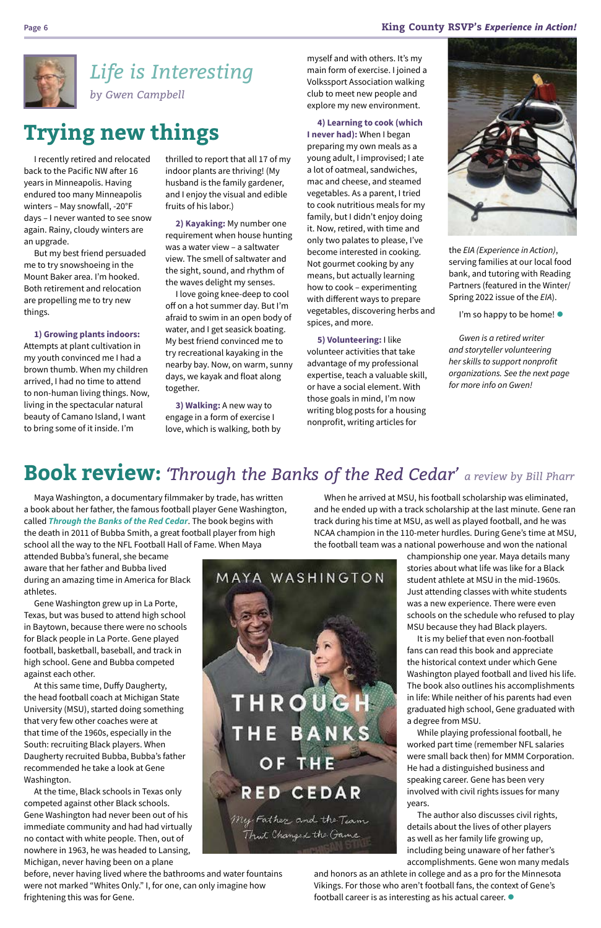#### **Page 6 King County RSVP's** *Experience in Action!*



Maya Washington, a documentary filmmaker by trade, has written a book about her father, the famous football player Gene Washington, called *[Through the Banks of the Red Cedar](https://www.throughthebanksoftheredcedar.com/)*. The book begins with the death in 2011 of Bubba Smith, a great football player from high school all the way to the NFL Football Hall of Fame. When Maya

attended Bubba's funeral, she became aware that her father and Bubba lived during an amazing time in America for Black athletes.

Gene Washington grew up in La Porte, Texas, but was bused to attend high school in Baytown, because there were no schools for Black people in La Porte. Gene played football, basketball, baseball, and track in high school. Gene and Bubba competed against each other. At this same time, Duffy Daugherty, the head football coach at Michigan State University (MSU), started doing something that very few other coaches were at that time of the 1960s, especially in the South: recruiting Black players. When Daugherty recruited Bubba, Bubba's father recommended he take a look at Gene Washington. At the time, Black schools in Texas only competed against other Black schools. Gene Washington had never been out of his immediate community and had had virtually no contact with white people. Then, out of nowhere in 1963, he was headed to Lansing, Michigan, never having been on a plane



It is my belief that even non-football fans can read this book and appreciate the historical context under which Gene Washington played football and lived his life. The book also outlines his accomplishments in life: While neither of his parents had even graduated high school, Gene graduated with a degree from MSU. While playing professional football, he worked part time (remember NFL salaries were small back then) for MMM Corporation. He had a distinguished business and speaking career. Gene has been very involved with civil rights issues for many years. The author also discusses civil rights, details about the lives of other players as well as her family life growing up, including being unaware of her father's accomplishments. Gene won many medals and honors as an athlete in college and as a pro for the Minnesota Vikings. For those who aren't football fans, the context of Gene's football career is as interesting as his actual career.  $\bullet$ 

THROUGH THE **BANKS** OF THE **RED CEDAR** My Father and the Team<br>Thut Changed the Game

before, never having lived where the bathrooms and water fountains were not marked "Whites Only." I, for one, can only imagine how frightening this was for Gene.

# **Book review:** *'Through the Banks of the Red Cedar' a review by Bill Pharr*

When he arrived at MSU, his football scholarship was eliminated, and he ended up with a track scholarship at the last minute. Gene ran track during his time at MSU, as well as played football, and he was NCAA champion in the 110-meter hurdles. During Gene's time at MSU, the football team was a national powerhouse and won the national

> championship one year. Maya details many stories about what life was like for a Black student athlete at MSU in the mid-1960s. Just attending classes with white students was a new experience. There were even schools on the schedule who refused to play MSU because they had Black players.

the *EIA (Experience in Action)*, serving families at our local food bank, and tutoring with Reading Partners (featured in the Winter/ Spring 2022 issue of the *EIA*).

I'm so happy to be home!  $\bullet$ 

*Gwen is a retired writer and storyteller volunteering her skills to support nonprofit organizations. See the next page for more info on Gwen!*

# **Trying new things**

I recently retired and relocated back to the Pacific NW after 16 years in Minneapolis. Having endured too many Minneapolis winters – May snowfall, -20°F days – I never wanted to see snow again. Rainy, cloudy winters are an upgrade.

But my best friend persuaded me to try snowshoeing in the Mount Baker area. I'm hooked. Both retirement and relocation are propelling me to try new things.

**1) Growing plants indoors:** Attempts at plant cultivation in my youth convinced me I had a brown thumb. When my children arrived, I had no time to attend to non-human living things. Now, living in the spectacular natural beauty of Camano Island, I want to bring some of it inside. I'm

thrilled to report that all 17 of my indoor plants are thriving! (My husband is the family gardener, and I enjoy the visual and edible fruits of his labor.)

**2) Kayaking:** My number one requirement when house hunting was a water view – a saltwater view. The smell of saltwater and the sight, sound, and rhythm of the waves delight my senses.

I love going knee-deep to cool off on a hot summer day. But I'm afraid to swim in an open body of water, and I get seasick boating. My best friend convinced me to try recreational kayaking in the nearby bay. Now, on warm, sunny days, we kayak and float along together.

**3) Walking:** A new way to engage in a form of exercise I love, which is walking, both by

# *Life is Interesting by Gwen Campbell*

myself and with others. It's my main form of exercise. I joined a Volkssport Association walking club to meet new people and explore my new environment.

**4) Learning to cook (which** 

**I never had):** When I began preparing my own meals as a young adult, I improvised; I ate a lot of oatmeal, sandwiches, mac and cheese, and steamed vegetables. As a parent, I tried to cook nutritious meals for my family, but I didn't enjoy doing it. Now, retired, with time and only two palates to please, I've become interested in cooking. Not gourmet cooking by any means, but actually learning how to cook – experimenting with different ways to prepare vegetables, discovering herbs and spices, and more.

**5) Volunteering:** I like volunteer activities that take advantage of my professional expertise, teach a valuable skill, or have a social element. With those goals in mind, I'm now writing blog posts for a housing nonprofit, writing articles for

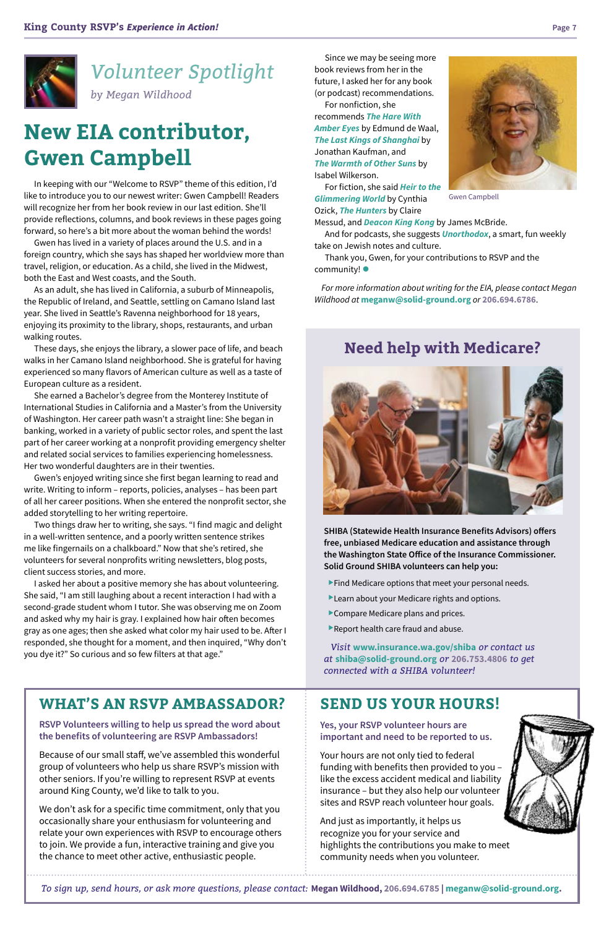Since we may be seeing more book reviews from her in the future, I asked her for any book (or podcast) recommendations.

For nonfiction, she recommends *[The Hare With](https://youtu.be/xnCjLXQAnmo)  [Amber Eyes](https://youtu.be/xnCjLXQAnmo)* by Edmund de Waal, *[The Last Kings of Shanghai](https://youtu.be/HdgDGefFvE8)* by Jonathan Kaufman, and *[The Warmth of Other Suns](https://youtu.be/5hoAYn0PpP0)* by Isabel Wilkerson.

Thank you, Gwen, for your contributions to RSVP and the community!  $\bullet$ 

For fiction, she said *[Heir to the](https://youtu.be/Wml7vsgxrrs)  [Glimmering World](https://youtu.be/Wml7vsgxrrs)* by Cynthia Ozick, *[The Hunters](https://www.goodreads.com/en/book/show/3650)* by Claire

Messud, and *[Deacon King Kong](https://youtu.be/2wfaQS3beOQ)* by James McBride.

And for podcasts, she suggests *[Unorthodox](https://en.wikipedia.org/wiki/Unorthodox_(podcast))*, a smart, fun weekly take on Jewish notes and culture.

*For more information about writing for the EIA, please contact Megan Wildhood at* **[meganw@solid-ground.org](mailto:meganw@solid-ground.org )** *or* **206.694.6786**.

In keeping with our "Welcome to RSVP" theme of this edition, I'd like to introduce you to our newest writer: Gwen Campbell! Readers will recognize her from her book review in our last edition. She'll provide reflections, columns, and book reviews in these pages going forward, so here's a bit more about the woman behind the words!

Gwen has lived in a variety of places around the U.S. and in a foreign country, which she says has shaped her worldview more than travel, religion, or education. As a child, she lived in the Midwest, both the East and West coasts, and the South.

As an adult, she has lived in California, a suburb of Minneapolis, the Republic of Ireland, and Seattle, settling on Camano Island last year. She lived in Seattle's Ravenna neighborhood for 18 years, enjoying its proximity to the library, shops, restaurants, and urban walking routes.

These days, she enjoys the library, a slower pace of life, and beach walks in her Camano Island neighborhood. She is grateful for having experienced so many flavors of American culture as well as a taste of European culture as a resident.

She earned a Bachelor's degree from the Monterey Institute of International Studies in California and a Master's from the University of Washington. Her career path wasn't a straight line: She began in banking, worked in a variety of public sector roles, and spent the last part of her career working at a nonprofit providing emergency shelter and related social services to families experiencing homelessness. Her two wonderful daughters are in their twenties.

Gwen's enjoyed writing since she first began learning to read and write. Writing to inform – reports, policies, analyses – has been part of all her career positions. When she entered the nonprofit sector, she added storytelling to her writing repertoire.

Two things draw her to writing, she says. "I find magic and delight in a well-written sentence, and a poorly written sentence strikes me like fingernails on a chalkboard." Now that she's retired, she volunteers for several nonprofits writing newsletters, blog posts, client success stories, and more.

I asked her about a positive memory she has about volunteering. She said, "I am still laughing about a recent interaction I had with a second-grade student whom I tutor. She was observing me on Zoom and asked why my hair is gray. I explained how hair often becomes gray as one ages; then she asked what color my hair used to be. After I responded, she thought for a moment, and then inquired, "Why don't you dye it?" So curious and so few filters at that age."

# **New EIA contributor, Gwen Campbell**

# *Volunteer Spotlight by Megan Wildhood*





Gwen Campbell

### **WHAT'S AN RSVP AMBASSADOR?**

**RSVP Volunteers willing to help us spread the word about the benefits of volunteering are RSVP Ambassadors!**

Because of our small staff, we've assembled this wonderful group of volunteers who help us share RSVP's mission with other seniors. If you're willing to represent RSVP at events around King County, we'd like to talk to you.

We don't ask for a specific time commitment, only that you occasionally share your enthusiasm for volunteering and relate your own experiences with RSVP to encourage others to join. We provide a fun, interactive training and give you the chance to meet other active, enthusiastic people.

# **SEND US YOUR HOURS!**

**Yes, your RSVP volunteer hours are important and need to be reported to us.**

Your hours are not only tied to federal funding with benefits then provided to you – like the excess accident medical and liability insurance – but they also help our volunteer sites and RSVP reach volunteer hour goals.

And just as importantly, it helps us recognize you for your service and highlights the contributions you make to meet community needs when you volunteer.



*To sign up, send hours, or ask more questions, please contact:* **Megan Wildhood, 206.694.6785 | meganw@solid-ground.org.**

**SHIBA (Statewide Health Insurance Benefits Advisors) offers free, unbiased Medicare education and assistance through the Washington State Office of the Insurance Commissioner. Solid Ground SHIBA volunteers can help you:**

- $\blacktriangleright$  Find Medicare options that meet your personal needs.
- Learn about your Medicare rights and options.
- $\blacktriangleright$  Compare Medicare plans and prices.
- Report health care fraud and abuse.

*Visit* **[www.insurance.wa.gov/shiba](https://www.insurance.wa.gov/statewide-health-insurance-benefits-advisors-shiba)** *or contact us at* **[shiba@solid-ground.org](mailto:shiba@solid-ground.org)** *or* **206.753.4806** *to get connected with a SHIBA volunteer!*

## **Need help with Medicare?**